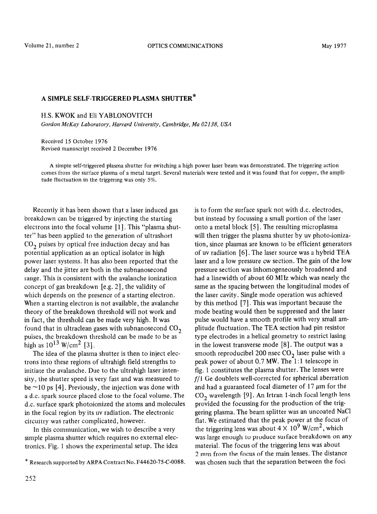## A SIMPLE SELF-TRIGGERED PLASMA SHUTTER\*

H.S. KWOK and Eli YABLONOVITCH

*Gordon McKay Laboratory, Harvard University, Cambridge, Ma 02138, USA* 

Received 15 October 1976 Revised manuscript received 2 December 1976

A simple self-triggered plasma shutter for switching a high power laser beam was demonstrated. The triggering action comes from the surface plasma of a metal target. Several materials were tested and it was found that for copper, the amplitude fluctuation in the triggering was only 5%.

Kecently it has been shown that a laser induced gas breakdown can be triggered by injecting the starting electrons into the focal volume [1]. This "plasma shutter" has been applied to the generation of ultrashort CO, puises by optical free induction decay and has potential application as an optical isolator in high power laser systems. It has also been reported that the delay and the jitter are both in the subnanosecond range. This is consistent with the avalanche ionization concept of gas breakdown [e.g. 2], the validity of which depends on the presence of a starting electron. When a starting electron is not available, the avalanche theory of the breakdown threshold will not work and in fact, the threshold can be made very high. It was found that in ultraclean gases with subnanosecond  $CO<sub>2</sub>$ puises, the breakdown threshold can be made to be as high as  $10^{13}$  W/cm<sup>2</sup> [3].

The idea of the plasma shutter is then to inject electrons into these regions of ultrahigh field strengths to initiate the avalanche. Due to the ultrahigh laser intensity, the shutter speed is very fast and was measured to be  $\sim$ 10 ps [4]. Previously, the injection was done with a d.c. spark source placed close to the focal volume. The d.c. surface spark photoionized the atoms and molecules in the focal region by its uv radiation. The electronic circuitry was rather complicated, however.

In this communication, we wish to describe a very simple plasma shutter which requires no external electronics. Fig. 1 shows the experimental setup. The idea is to form the surface spark not with d.c. electrodes, but instead by focussing a small portion of the laser onto a metal block [5]. The resulting microplasma will then trigger the plasma shutter by uv photo-ionization, since plasmas are known to be efficient generators of uv radiation [6], The laser source was a hybrid TEA laser and a low pressure cw section. The gain of the low pressure section was inhomogeneously broadened and had a linewidth of about 60 MHz which was nearly the same as the spacing between the longitudinal modes of the laser cavity. Single mode operation was achieved by this method [7]. This was important because the mode beating would then be suppressed and the laser pulse would have a smooth profile with very small amplitude fluctuation. The TEA section had pin resistor type electrodes in a helical geometry to restrict lasing in the lowest transverse mode [8]. The output was a smooth reproducibel 200 nsec  $CO<sub>2</sub>$  laser pulse with a peak power of about 0.7 MW. The 1:1 telescope in fig. 1 constitutes the plasma shutter. The lenses were  $f/1$  Ge doublets well-corrected for spherical aberration and had a guaranteed focal diameter of  $17 \mu m$  for the CO, wavelength [9]. An Irtran 1 -inch focal length lens provided the focussing for the production of the triggering plasma. The beam splitter was an uncoated NaCl flat. We estimated that the peak power at the focus of the triggering lens was about  $4 \times 10^9$  W/cm<sup>2</sup>, which was large enough to produce surface breakdown on any material. The focus of the triggering lens was about 2 mm from the focus of the main lenses. The distance was chosen such that the separation between the foci

<sup>\*</sup> Research supported by ARPA Contract No. F44620-75-C-0088.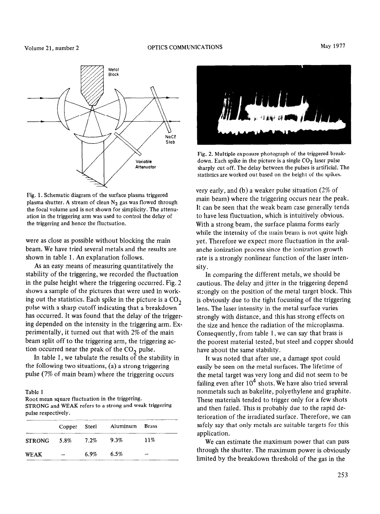



Fig. 1. Schematic diagram of the surface plasma triggered plasma shutter. A stream of clean  $N_2$  gas was flowed through the focal volume and is not shown for simplicity. The attenuation in the triggering arm was used to control the delay of the triggering and hence the fluctuation.

were as close as possible without blocking the main beam. We have tried several metals and the results are shown in table 1. An explanation follows.

As an easy means of measuring quantitatively the stability of the triggering, we recorded the fluctuation in the pulse height where the triggering occurred. Fig. 2 shows a sample of the pictures that were used in working out the statistics. Each spike in the picture is a  $CO<sub>2</sub>$ pulse with a sharp cutoff indicating that a breakdown has occurred. It was found that the delay of the triggering depended on the intensity in the triggering arm. Experimentally, it turned out that with 2% of the main beam split off to the triggering arm, the triggering action occurred near the peak of the  $CO<sub>2</sub>$  pulse.

In table 1, we tabulate the results of the stability in the following two situations, (a) a strong triggering pulse (7% of main beam) where the triggering occurs

## Table 1

Root mean square fluctuation in the triggering. STRONG and WEAK refers to a strong and weak triggering pulse respectively.

|                  |      | Copper Steel Aluminum Brass |     |
|------------------|------|-----------------------------|-----|
| STRONG 5.8% 7.2% |      | 9.3%                        | 11% |
| <b>WEAK</b>      | 6.9% | 6.5%                        |     |



Fig. 2. Multiple exposure photograph of the triggered breakdown. Each spike in the picture is a single  $CO<sub>2</sub>$  laser pulse sharply cut off. The delay between the pulses is artificial. The statistics are worked out based on the height of the spikes.

very early, and (b) a weaker pulse situation (2% of main beam) where the triggering occurs near the peak. It can be seen that the weak beam case generally tends to have less fluctuation, which is intuitively obvious. With a strong beam, the surface plasma forms early while the intensity of the main beam is not quite high yet. Therefore we expect more fluctuation in the avalanche ionization process since the ionization growth rate is a strongly nonlinear function of the laser intensity.

In comparing the different metals, we should be cautious. The delay and jitter in the triggering depend strongly on the position of the metal target block. This is obviously due to the tight focussing of the triggering lens. The laser intensity in the metal surface varies strongly with distance, and this has strong effects on the size and hence the radiation of the microplasma. Consequently, from table 1, we can say that brass is the poorest material tested, but steel and copper should have about the same stability.

It was noted that after use, a damage spot could easily be seen on the metal surfaces. The lifetime of the metal target was very long and did not seem to be failing even after  $10^4$  shots. We have also tried several nonmetals such as bakelite, polyethylene and graphite. These materials tended to trigger only for a few shots and then failed. This is probably due to the rapid deterioration of the irradiated surface. Therefore, we can safely say that only metals are suitable targets for this application.

We can estimate the maximum power that can pass through the shutter. The maximum power is obviously limited by the breakdown threshold of the gas in the